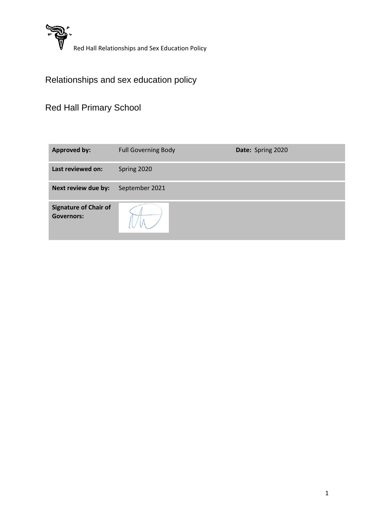

# Relationships and sex education policy

# Red Hall Primary School

| <b>Approved by:</b>                               | <b>Full Governing Body</b> | Date: Spring 2020 |
|---------------------------------------------------|----------------------------|-------------------|
| Last reviewed on:                                 | Spring 2020                |                   |
| Next review due by:                               | September 2021             |                   |
| <b>Signature of Chair of</b><br><b>Governors:</b> |                            |                   |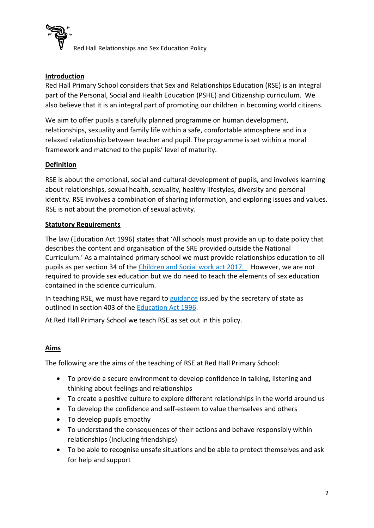

## **Introduction**

Red Hall Primary School considers that Sex and Relationships Education (RSE) is an integral part of the Personal, Social and Health Education (PSHE) and Citizenship curriculum. We also believe that it is an integral part of promoting our children in becoming world citizens.

We aim to offer pupils a carefully planned programme on human development, relationships, sexuality and family life within a safe, comfortable atmosphere and in a relaxed relationship between teacher and pupil. The programme is set within a moral framework and matched to the pupils' level of maturity.

## **Definition**

RSE is about the emotional, social and cultural development of pupils, and involves learning about relationships, sexual health, sexuality, healthy lifestyles, diversity and personal identity. RSE involves a combination of sharing information, and exploring issues and values. RSE is not about the promotion of sexual activity.

#### **Statutory Requirements**

The law (Education Act 1996) states that 'All schools must provide an up to date policy that describes the content and organisation of the SRE provided outside the National Curriculum.' As a maintained primary school we must provide relationships education to all pupils as per section 34 of the [Children and Social work act 2017.](http://www.legislation.gov.uk/ukpga/2017/16/section/34/enacted) However, we are not required to provide sex education but we do need to teach the elements of sex education contained in the science curriculum.

In teaching RSE, we must have regard to [guidance](https://www.gov.uk/government/consultations/relationships-and-sex-education-and-health-education) issued by the secretary of state as outlined in section 403 of the [Education Act 1996.](http://www.legislation.gov.uk/ukpga/1996/56/contents)

At Red Hall Primary School we teach RSE as set out in this policy.

#### **Aims**

The following are the aims of the teaching of RSE at Red Hall Primary School:

- To provide a secure environment to develop confidence in talking, listening and thinking about feelings and relationships
- To create a positive culture to explore different relationships in the world around us
- To develop the confidence and self-esteem to value themselves and others
- To develop pupils empathy
- To understand the consequences of their actions and behave responsibly within relationships (Including friendships)
- To be able to recognise unsafe situations and be able to protect themselves and ask for help and support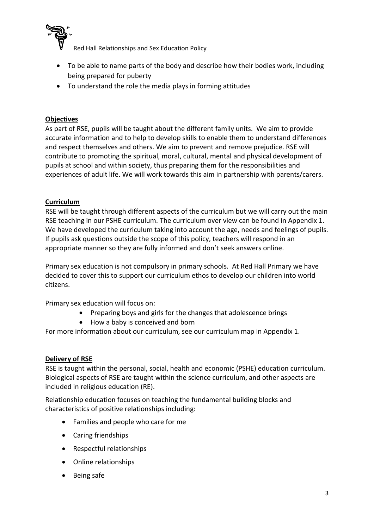

- To be able to name parts of the body and describe how their bodies work, including being prepared for puberty
- To understand the role the media plays in forming attitudes

## **Objectives**

As part of RSE, pupils will be taught about the different family units. We aim to provide accurate information and to help to develop skills to enable them to understand differences and respect themselves and others. We aim to prevent and remove prejudice. RSE will contribute to promoting the spiritual, moral, cultural, mental and physical development of pupils at school and within society, thus preparing them for the responsibilities and experiences of adult life. We will work towards this aim in partnership with parents/carers.

## **Curriculum**

RSE will be taught through different aspects of the curriculum but we will carry out the main RSE teaching in our PSHE curriculum. The curriculum over view can be found in Appendix 1. We have developed the curriculum taking into account the age, needs and feelings of pupils. If pupils ask questions outside the scope of this policy, teachers will respond in an appropriate manner so they are fully informed and don't seek answers online.

Primary sex education is not compulsory in primary schools. At Red Hall Primary we have decided to cover this to support our curriculum ethos to develop our children into world citizens.

Primary sex education will focus on:

- Preparing boys and girls for the changes that adolescence brings
- How a baby is conceived and born

For more information about our curriculum, see our curriculum map in Appendix 1.

#### **Delivery of RSE**

RSE is taught within the personal, social, health and economic (PSHE) education curriculum. Biological aspects of RSE are taught within the science curriculum, and other aspects are included in religious education (RE).

Relationship education focuses on teaching the fundamental building blocks and characteristics of positive relationships including:

- Families and people who care for me
- Caring friendships
- Respectful relationships
- Online relationships
- Being safe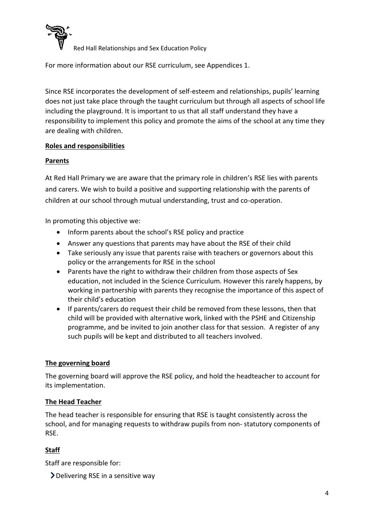

For more information about our RSE curriculum, see Appendices 1.

Since RSE incorporates the development of self-esteem and relationships, pupils' learning does not just take place through the taught curriculum but through all aspects of school life including the playground. It is important to us that all staff understand they have a responsibility to implement this policy and promote the aims of the school at any time they are dealing with children.

#### **Roles and responsibilities**

## **Parents**

At Red Hall Primary we are aware that the primary role in children's RSE lies with parents and carers. We wish to build a positive and supporting relationship with the parents of children at our school through mutual understanding, trust and co-operation.

In promoting this objective we:

- Inform parents about the school's RSE policy and practice
- Answer any questions that parents may have about the RSE of their child
- Take seriously any issue that parents raise with teachers or governors about this policy or the arrangements for RSE in the school
- Parents have the right to withdraw their children from those aspects of Sex education, not included in the Science Curriculum. However this rarely happens, by working in partnership with parents they recognise the importance of this aspect of their child's education
- If parents/carers do request their child be removed from these lessons, then that child will be provided with alternative work, linked with the PSHE and Citizenship programme, and be invited to join another class for that session. A register of any such pupils will be kept and distributed to all teachers involved.

## **The governing board**

The governing board will approve the RSE policy, and hold the headteacher to account for its implementation.

#### **The Head Teacher**

The head teacher is responsible for ensuring that RSE is taught consistently across the school, and for managing requests to withdraw pupils from non- statutory components of RSE.

## **Staff**

Staff are responsible for:

Delivering RSE in a sensitive way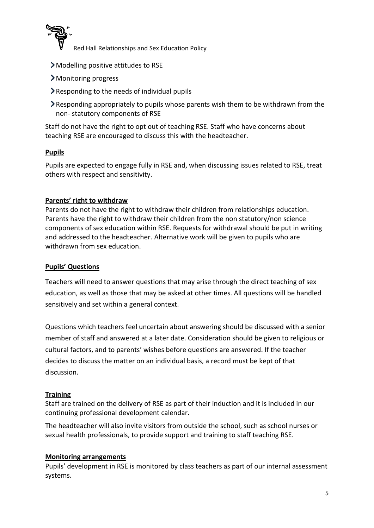

- Modelling positive attitudes to RSE
- Monitoring progress
- $\blacktriangleright$  Responding to the needs of individual pupils
- Responding appropriately to pupils whose parents wish them to be withdrawn from the non- statutory components of RSE

Staff do not have the right to opt out of teaching RSE. Staff who have concerns about teaching RSE are encouraged to discuss this with the headteacher.

## **Pupils**

Pupils are expected to engage fully in RSE and, when discussing issues related to RSE, treat others with respect and sensitivity.

## **Parents' right to withdraw**

Parents do not have the right to withdraw their children from relationships education. Parents have the right to withdraw their children from the non statutory/non science components of sex education within RSE. Requests for withdrawal should be put in writing and addressed to the headteacher. Alternative work will be given to pupils who are withdrawn from sex education.

#### **Pupils' Questions**

Teachers will need to answer questions that may arise through the direct teaching of sex education, as well as those that may be asked at other times. All questions will be handled sensitively and set within a general context.

Questions which teachers feel uncertain about answering should be discussed with a senior member of staff and answered at a later date. Consideration should be given to religious or cultural factors, and to parents' wishes before questions are answered. If the teacher decides to discuss the matter on an individual basis, a record must be kept of that discussion.

#### **Training**

Staff are trained on the delivery of RSE as part of their induction and it is included in our continuing professional development calendar.

The headteacher will also invite visitors from outside the school, such as school nurses or sexual health professionals, to provide support and training to staff teaching RSE.

#### **Monitoring arrangements**

Pupils' development in RSE is monitored by class teachers as part of our internal assessment systems.